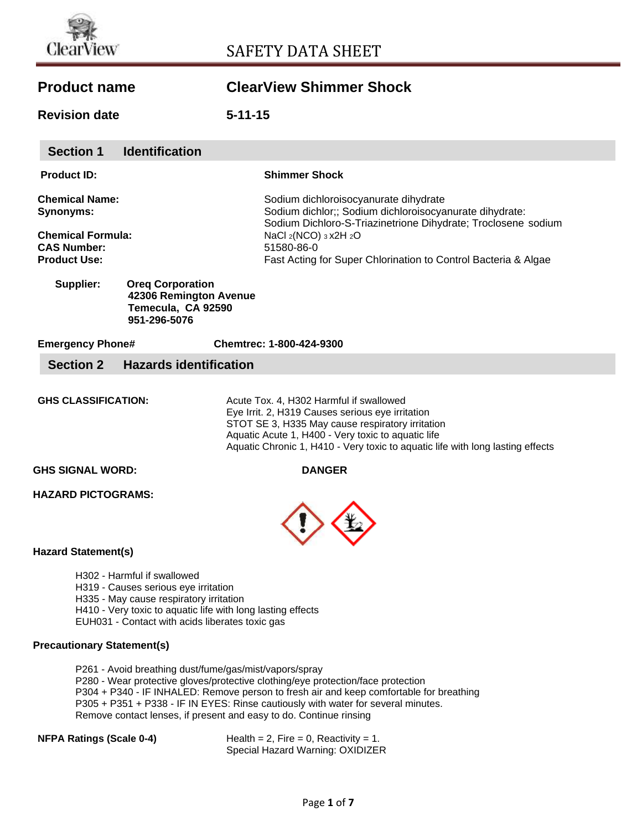

**Section 1 Identification** 

# **Product name ClearView Shimmer Shock**

**Revision date 5-11-15**

|                                           | <b>OECHOIL</b>                                                        | <u>iuenuncauon</u>                                                                                                                                                                                                               |                                                                                                                                                                                                                                                                                         |
|-------------------------------------------|-----------------------------------------------------------------------|----------------------------------------------------------------------------------------------------------------------------------------------------------------------------------------------------------------------------------|-----------------------------------------------------------------------------------------------------------------------------------------------------------------------------------------------------------------------------------------------------------------------------------------|
|                                           | <b>Product ID:</b>                                                    |                                                                                                                                                                                                                                  | <b>Shimmer Shock</b>                                                                                                                                                                                                                                                                    |
| <b>Chemical Name:</b><br><b>Synonyms:</b> |                                                                       |                                                                                                                                                                                                                                  | Sodium dichloroisocyanurate dihydrate<br>Sodium dichlor;; Sodium dichloroisocyanurate dihydrate:<br>Sodium Dichloro-S-Triazinetrione Dihydrate; Troclosene sodium                                                                                                                       |
|                                           | <b>Chemical Formula:</b><br><b>CAS Number:</b><br><b>Product Use:</b> |                                                                                                                                                                                                                                  | NaCl 2(NCO) 3 x2H 2O<br>51580-86-0<br>Fast Acting for Super Chlorination to Control Bacteria & Algae                                                                                                                                                                                    |
|                                           | Supplier:                                                             | <b>Oreg Corporation</b><br>42306 Remington Avenue<br>Temecula, CA 92590<br>951-296-5076                                                                                                                                          |                                                                                                                                                                                                                                                                                         |
|                                           | <b>Emergency Phone#</b>                                               |                                                                                                                                                                                                                                  | Chemtrec: 1-800-424-9300                                                                                                                                                                                                                                                                |
|                                           | <b>Section 2</b>                                                      | <b>Hazards identification</b>                                                                                                                                                                                                    |                                                                                                                                                                                                                                                                                         |
|                                           | <b>GHS CLASSIFICATION:</b>                                            |                                                                                                                                                                                                                                  | Acute Tox. 4, H302 Harmful if swallowed<br>Eye Irrit. 2, H319 Causes serious eye irritation<br>STOT SE 3, H335 May cause respiratory irritation<br>Aquatic Acute 1, H400 - Very toxic to aquatic life<br>Aquatic Chronic 1, H410 - Very toxic to aquatic life with long lasting effects |
|                                           | <b>GHS SIGNAL WORD:</b>                                               |                                                                                                                                                                                                                                  | <b>DANGER</b>                                                                                                                                                                                                                                                                           |
|                                           | <b>HAZARD PICTOGRAMS:</b>                                             |                                                                                                                                                                                                                                  |                                                                                                                                                                                                                                                                                         |
|                                           | <b>Hazard Statement(s)</b>                                            |                                                                                                                                                                                                                                  |                                                                                                                                                                                                                                                                                         |
|                                           |                                                                       | H302 - Harmful if swallowed<br>H319 - Causes serious eye irritation<br>H335 - May cause respiratory irritation<br>H410 - Very toxic to aquatic life with long lasting effects<br>EUH031 - Contact with acids liberates toxic gas |                                                                                                                                                                                                                                                                                         |
|                                           | <b>Precautionary Statement(s)</b>                                     |                                                                                                                                                                                                                                  |                                                                                                                                                                                                                                                                                         |
|                                           |                                                                       | P261 - Avoid breathing dust/fume/gas/mist/vapors/spray                                                                                                                                                                           | P280 - Wear protective gloves/protective clothing/eye protection/face protection<br>P304 + P340 - IF INHALED: Remove person to fresh air and keep comfortable for breathing                                                                                                             |

P305 + P351 + P338 - IF IN EYES: Rinse cautiously with water for several minutes.

Remove contact lenses, if present and easy to do. Continue rinsing

**NFPA Ratings (Scale 0-4)** Health = 2, Fire = 0, Reactivity = 1. Special Hazard Warning: OXIDIZER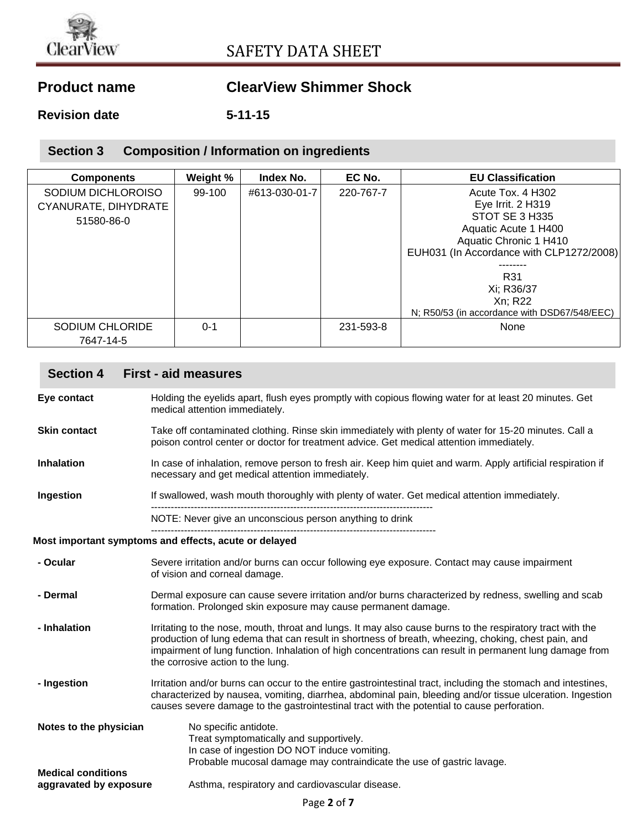

# **Product name ClearView Shimmer Shock**

**Revision date 5-11-15**

### **Section 3 Composition / Information on ingredients**

| <b>Components</b>    | Weight % | Index No.     | EC No.    | <b>EU Classification</b>                     |
|----------------------|----------|---------------|-----------|----------------------------------------------|
| SODIUM DICHLOROISO   | 99-100   | #613-030-01-7 | 220-767-7 | Acute Tox. 4 H302                            |
| CYANURATE, DIHYDRATE |          |               |           | Eye Irrit. 2 H319                            |
| 51580-86-0           |          |               |           | STOT SE 3 H335                               |
|                      |          |               |           | Aquatic Acute 1 H400                         |
|                      |          |               |           | Aquatic Chronic 1 H410                       |
|                      |          |               |           | EUH031 (In Accordance with CLP1272/2008)     |
|                      |          |               |           |                                              |
|                      |          |               |           | R31                                          |
|                      |          |               |           | Xi; R36/37                                   |
|                      |          |               |           | Xn; R22                                      |
|                      |          |               |           | N; R50/53 (in accordance with DSD67/548/EEC) |
| SODIUM CHLORIDE      | $0 - 1$  |               | 231-593-8 | None                                         |
| 7647-14-5            |          |               |           |                                              |

### **Section 4 First - aid measures**

**Eye contact** Holding the eyelids apart, flush eyes promptly with copious flowing water for at least 20 minutes. Get medical attention immediately.

- **Skin contact** Take off contaminated clothing. Rinse skin immediately with plenty of water for 15-20 minutes. Call a poison control center or doctor for treatment advice. Get medical attention immediately.
- **Inhalation** In case of inhalation, remove person to fresh air. Keep him quiet and warm. Apply artificial respiration if necessary and get medical attention immediately.

**Ingestion** If swallowed, wash mouth thoroughly with plenty of water. Get medical attention immediately. -------------------------------------------------------------------------------------

NOTE: Never give an unconscious person anything to drink

### -------------------------------------------------------------------------------------- **Most important symptoms and effects, acute or delayed**

| - Ocular                                            | Severe irritation and/or burns can occur following eye exposure. Contact may cause impairment<br>of vision and corneal damage.                                                                                                                                                                                                                                    |
|-----------------------------------------------------|-------------------------------------------------------------------------------------------------------------------------------------------------------------------------------------------------------------------------------------------------------------------------------------------------------------------------------------------------------------------|
| - Dermal                                            | Dermal exposure can cause severe irritation and/or burns characterized by redness, swelling and scab<br>formation. Prolonged skin exposure may cause permanent damage.                                                                                                                                                                                            |
| - Inhalation                                        | Irritating to the nose, mouth, throat and lungs. It may also cause burns to the respiratory tract with the<br>production of lung edema that can result in shortness of breath, wheezing, choking, chest pain, and<br>impairment of lung function. Inhalation of high concentrations can result in permanent lung damage from<br>the corrosive action to the lung. |
| - Ingestion                                         | Irritation and/or burns can occur to the entire gastrointestinal tract, including the stomach and intestines,<br>characterized by nausea, vomiting, diarrhea, abdominal pain, bleeding and/or tissue ulceration. Ingestion<br>causes severe damage to the gastrointestinal tract with the potential to cause perforation.                                         |
| Notes to the physician                              | No specific antidote.<br>Treat symptomatically and supportively.<br>In case of ingestion DO NOT induce vomiting.<br>Probable mucosal damage may contraindicate the use of gastric lavage.                                                                                                                                                                         |
| <b>Medical conditions</b><br>aggravated by exposure | Asthma, respiratory and cardiovascular disease.                                                                                                                                                                                                                                                                                                                   |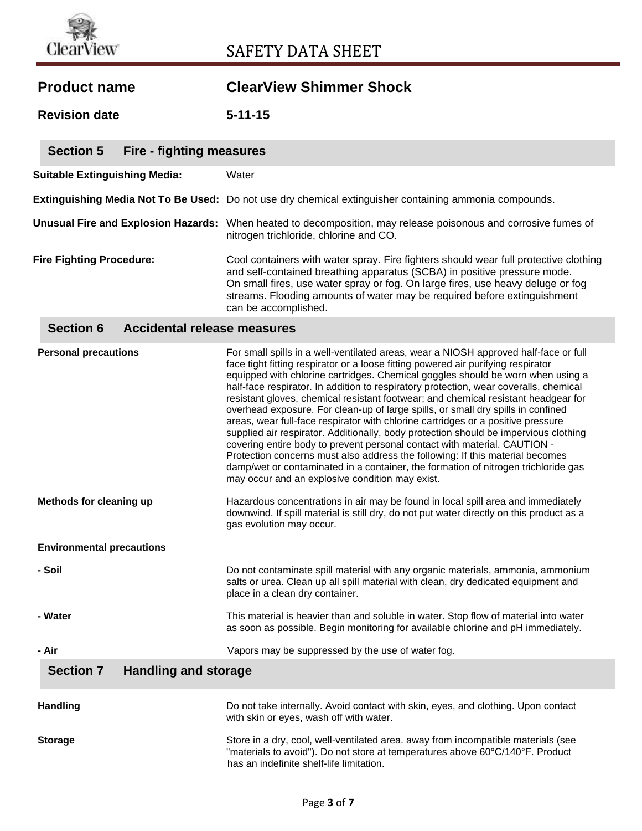

|  |  | <b>Product name</b> |
|--|--|---------------------|
|--|--|---------------------|

# **ClearView Shimmer Shock**

**Revision date 5-11-15**

| <b>Section 5</b><br>Fire - fighting measures |                                                                                                                                                                                                                                                                                                                                                         |
|----------------------------------------------|---------------------------------------------------------------------------------------------------------------------------------------------------------------------------------------------------------------------------------------------------------------------------------------------------------------------------------------------------------|
| <b>Suitable Extinguishing Media:</b>         | Water                                                                                                                                                                                                                                                                                                                                                   |
|                                              | Extinguishing Media Not To Be Used: Do not use dry chemical extinguisher containing ammonia compounds.                                                                                                                                                                                                                                                  |
|                                              | Unusual Fire and Explosion Hazards: When heated to decomposition, may release poisonous and corrosive fumes of<br>nitrogen trichloride, chlorine and CO.                                                                                                                                                                                                |
| <b>Fire Fighting Procedure:</b>              | Cool containers with water spray. Fire fighters should wear full protective clothing<br>and self-contained breathing apparatus (SCBA) in positive pressure mode.<br>On small fires, use water spray or fog. On large fires, use heavy deluge or fog<br>streams. Flooding amounts of water may be required before extinguishment<br>can be accomplished. |
|                                              |                                                                                                                                                                                                                                                                                                                                                         |

### **Section 6 Accidental release measures**

| <b>Personal precautions</b>                     | For small spills in a well-ventilated areas, wear a NIOSH approved half-face or full<br>face tight fitting respirator or a loose fitting powered air purifying respirator<br>equipped with chlorine cartridges. Chemical goggles should be worn when using a<br>half-face respirator. In addition to respiratory protection, wear coveralls, chemical<br>resistant gloves, chemical resistant footwear; and chemical resistant headgear for<br>overhead exposure. For clean-up of large spills, or small dry spills in confined<br>areas, wear full-face respirator with chlorine cartridges or a positive pressure<br>supplied air respirator. Additionally, body protection should be impervious clothing<br>covering entire body to prevent personal contact with material. CAUTION -<br>Protection concerns must also address the following: If this material becomes<br>damp/wet or contaminated in a container, the formation of nitrogen trichloride gas<br>may occur and an explosive condition may exist. |
|-------------------------------------------------|--------------------------------------------------------------------------------------------------------------------------------------------------------------------------------------------------------------------------------------------------------------------------------------------------------------------------------------------------------------------------------------------------------------------------------------------------------------------------------------------------------------------------------------------------------------------------------------------------------------------------------------------------------------------------------------------------------------------------------------------------------------------------------------------------------------------------------------------------------------------------------------------------------------------------------------------------------------------------------------------------------------------|
| Methods for cleaning up                         | Hazardous concentrations in air may be found in local spill area and immediately<br>downwind. If spill material is still dry, do not put water directly on this product as a<br>gas evolution may occur.                                                                                                                                                                                                                                                                                                                                                                                                                                                                                                                                                                                                                                                                                                                                                                                                           |
| <b>Environmental precautions</b>                |                                                                                                                                                                                                                                                                                                                                                                                                                                                                                                                                                                                                                                                                                                                                                                                                                                                                                                                                                                                                                    |
| - Soil                                          | Do not contaminate spill material with any organic materials, ammonia, ammonium<br>salts or urea. Clean up all spill material with clean, dry dedicated equipment and<br>place in a clean dry container.                                                                                                                                                                                                                                                                                                                                                                                                                                                                                                                                                                                                                                                                                                                                                                                                           |
| - Water                                         | This material is heavier than and soluble in water. Stop flow of material into water<br>as soon as possible. Begin monitoring for available chlorine and pH immediately.                                                                                                                                                                                                                                                                                                                                                                                                                                                                                                                                                                                                                                                                                                                                                                                                                                           |
| - Air                                           | Vapors may be suppressed by the use of water fog.                                                                                                                                                                                                                                                                                                                                                                                                                                                                                                                                                                                                                                                                                                                                                                                                                                                                                                                                                                  |
| <b>Section 7</b><br><b>Handling and storage</b> |                                                                                                                                                                                                                                                                                                                                                                                                                                                                                                                                                                                                                                                                                                                                                                                                                                                                                                                                                                                                                    |
| <b>Handling</b>                                 | Do not take internally. Avoid contact with skin, eyes, and clothing. Upon contact<br>with skin or eyes, wash off with water.                                                                                                                                                                                                                                                                                                                                                                                                                                                                                                                                                                                                                                                                                                                                                                                                                                                                                       |
| <b>Storage</b>                                  | Store in a dry, cool, well-ventilated area. away from incompatible materials (see<br>"materials to avoid"). Do not store at temperatures above 60°C/140°F. Product<br>has an indefinite shelf-life limitation.                                                                                                                                                                                                                                                                                                                                                                                                                                                                                                                                                                                                                                                                                                                                                                                                     |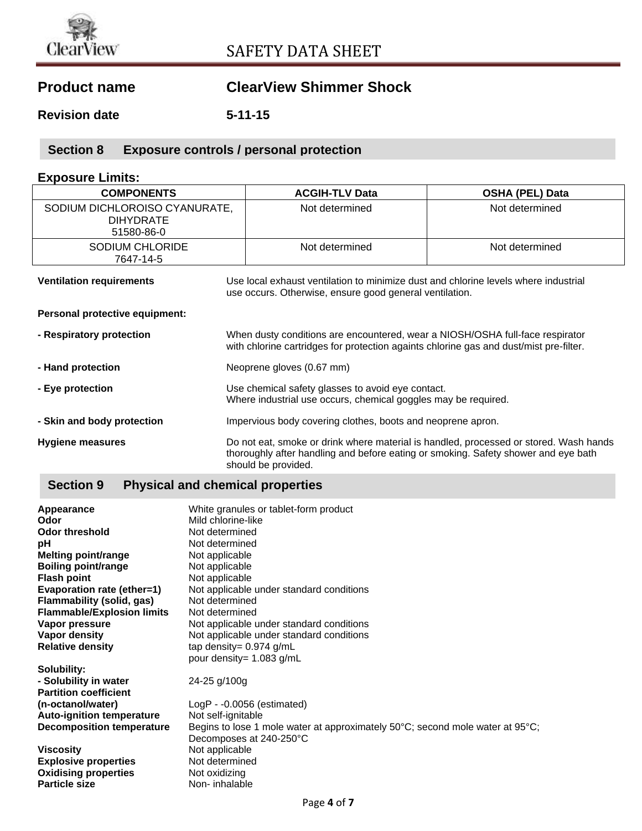

# **Product name ClearView Shimmer Shock**

**Revision date 5-11-15**

## **Section 8 Exposure controls / personal protection**

### **Exposure Limits:**

| <b>COMPONENTS</b>                                               | <b>ACGIH-TLV Data</b>                                                                                                                                                                              | <b>OSHA (PEL) Data</b> |
|-----------------------------------------------------------------|----------------------------------------------------------------------------------------------------------------------------------------------------------------------------------------------------|------------------------|
| SODIUM DICHLOROISO CYANURATE,<br><b>DIHYDRATE</b><br>51580-86-0 | Not determined                                                                                                                                                                                     | Not determined         |
| <b>SODIUM CHLORIDE</b><br>7647-14-5                             | Not determined                                                                                                                                                                                     | Not determined         |
| <b>Ventilation requirements</b>                                 | Use local exhaust ventilation to minimize dust and chlorine levels where industrial<br>use occurs. Otherwise, ensure good general ventilation.                                                     |                        |
| Personal protective equipment:                                  |                                                                                                                                                                                                    |                        |
| - Respiratory protection                                        | When dusty conditions are encountered, wear a NIOSH/OSHA full-face respirator<br>with chlorine cartridges for protection againts chlorine gas and dust/mist pre-filter.                            |                        |
| - Hand protection                                               | Neoprene gloves (0.67 mm)                                                                                                                                                                          |                        |
| - Eye protection                                                | Use chemical safety glasses to avoid eye contact.<br>Where industrial use occurs, chemical goggles may be required.                                                                                |                        |
| - Skin and body protection                                      | Impervious body covering clothes, boots and neoprene apron.                                                                                                                                        |                        |
| Hygiene measures                                                | Do not eat, smoke or drink where material is handled, processed or stored. Wash hands<br>thoroughly after handling and before eating or smoking. Safety shower and eye bath<br>should be provided. |                        |

## **Section 9 Physical and chemical properties**

| Appearance<br>Odor                | White granules or tablet-form product<br>Mild chlorine-like                   |
|-----------------------------------|-------------------------------------------------------------------------------|
| <b>Odor threshold</b>             | Not determined                                                                |
| рH                                | Not determined                                                                |
| Melting point/range               | Not applicable                                                                |
| <b>Boiling point/range</b>        | Not applicable                                                                |
| <b>Flash point</b>                | Not applicable                                                                |
| Evaporation rate (ether=1)        | Not applicable under standard conditions                                      |
| Flammability (solid, gas)         | Not determined                                                                |
| <b>Flammable/Explosion limits</b> | Not determined                                                                |
| Vapor pressure                    | Not applicable under standard conditions                                      |
| Vapor density                     | Not applicable under standard conditions                                      |
| <b>Relative density</b>           | tap density= $0.974$ g/mL                                                     |
|                                   | pour density= 1.083 g/mL                                                      |
| Solubility:                       |                                                                               |
| - Solubility in water             | 24-25 g/100g                                                                  |
| <b>Partition coefficient</b>      |                                                                               |
| (n-octanol/water)                 | LogP - -0.0056 (estimated)                                                    |
| <b>Auto-ignition temperature</b>  | Not self-ignitable                                                            |
| <b>Decomposition temperature</b>  | Begins to lose 1 mole water at approximately 50°C; second mole water at 95°C; |
|                                   | Decomposes at 240-250°C                                                       |
| <b>Viscosity</b>                  | Not applicable                                                                |
| <b>Explosive properties</b>       | Not determined                                                                |
| <b>Oxidising properties</b>       | Not oxidizing                                                                 |
| <b>Particle size</b>              | Non-inhalable                                                                 |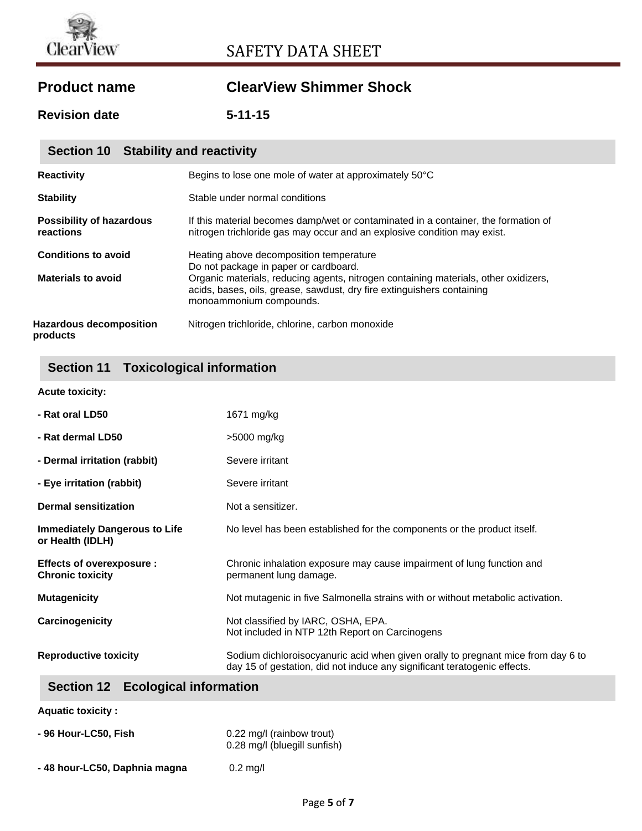

# ClearView SAFETY DATA SHEET

# **Product name ClearView Shimmer Shock**

**Revision date 5-11-15**

| Section 10 Stability and reactivity          |                                                                                                                                                                                          |
|----------------------------------------------|------------------------------------------------------------------------------------------------------------------------------------------------------------------------------------------|
| <b>Reactivity</b>                            | Begins to lose one mole of water at approximately 50°C                                                                                                                                   |
| <b>Stability</b>                             | Stable under normal conditions                                                                                                                                                           |
| <b>Possibility of hazardous</b><br>reactions | If this material becomes damp/wet or contaminated in a container, the formation of<br>nitrogen trichloride gas may occur and an explosive condition may exist.                           |
| <b>Conditions to avoid</b>                   | Heating above decomposition temperature<br>Do not package in paper or cardboard.                                                                                                         |
| <b>Materials to avoid</b>                    | Organic materials, reducing agents, nitrogen containing materials, other oxidizers,<br>acids, bases, oils, grease, sawdust, dry fire extinguishers containing<br>monoammonium compounds. |
| <b>Hazardous decomposition</b><br>products   | Nitrogen trichloride, chlorine, carbon monoxide                                                                                                                                          |

## **Section 11 Toxicological information**

| <b>Acute toxicity:</b> |
|------------------------|
|                        |

| - Rat oral LD50                                            | 1671 mg/kg                                                                                                                                                   |
|------------------------------------------------------------|--------------------------------------------------------------------------------------------------------------------------------------------------------------|
| - Rat dermal LD50                                          | >5000 mg/kg                                                                                                                                                  |
| - Dermal irritation (rabbit)                               | Severe irritant                                                                                                                                              |
| - Eye irritation (rabbit)                                  | Severe irritant                                                                                                                                              |
| <b>Dermal sensitization</b>                                | Not a sensitizer.                                                                                                                                            |
| <b>Immediately Dangerous to Life</b><br>or Health (IDLH)   | No level has been established for the components or the product itself.                                                                                      |
| <b>Effects of overexposure:</b><br><b>Chronic toxicity</b> | Chronic inhalation exposure may cause impairment of lung function and<br>permanent lung damage.                                                              |
| <b>Mutagenicity</b>                                        | Not mutagenic in five Salmonella strains with or without metabolic activation.                                                                               |
| Carcinogenicity                                            | Not classified by IARC, OSHA, EPA.<br>Not included in NTP 12th Report on Carcinogens                                                                         |
| <b>Reproductive toxicity</b>                               | Sodium dichloroisocyanuric acid when given orally to pregnant mice from day 6 to<br>day 15 of gestation, did not induce any significant teratogenic effects. |

## **Section 12 Ecological information**

| <b>Aquatic toxicity :</b> |  |
|---------------------------|--|
|---------------------------|--|

| - 96 Hour-LC50, Fish          | 0.22 mg/l (rainbow trout)<br>0.28 mg/l (bluegill sunfish) |
|-------------------------------|-----------------------------------------------------------|
| - 48 hour-LC50, Daphnia magna | $0.2$ mg/                                                 |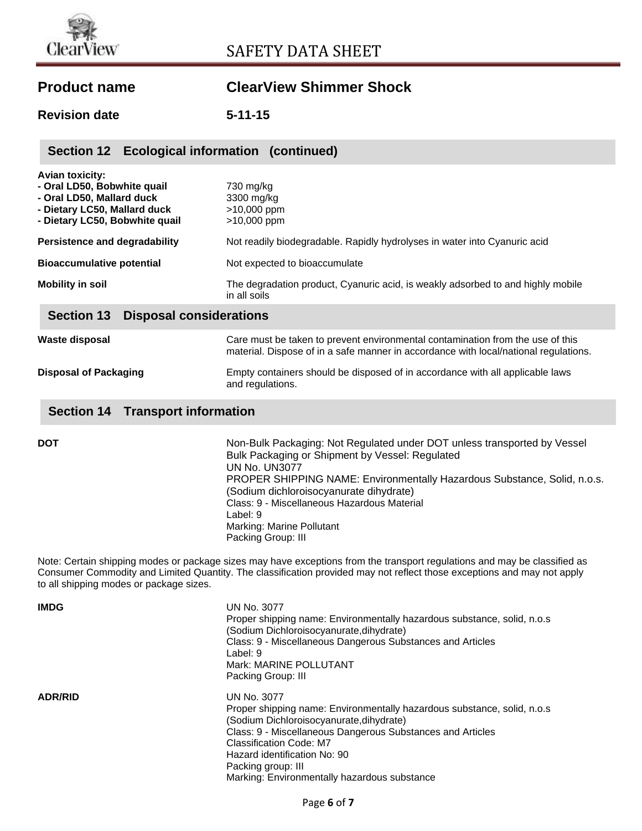# **Product name ClearView Shimmer Shock**

**Revision date 5-11-15**

| Section 12 Ecological information (continued)                                                                                                        |                                                                                                                                                                        |  |
|------------------------------------------------------------------------------------------------------------------------------------------------------|------------------------------------------------------------------------------------------------------------------------------------------------------------------------|--|
| <b>Avian toxicity:</b><br>- Oral LD50, Bobwhite quail<br>- Oral LD50, Mallard duck<br>- Dietary LC50, Mallard duck<br>- Dietary LC50, Bobwhite quail | 730 mg/kg<br>3300 mg/kg<br>>10,000 ppm<br>$>10,000$ ppm                                                                                                                |  |
| Persistence and degradability                                                                                                                        | Not readily biodegradable. Rapidly hydrolyses in water into Cyanuric acid                                                                                              |  |
| <b>Bioaccumulative potential</b>                                                                                                                     | Not expected to bioaccumulate                                                                                                                                          |  |
| <b>Mobility in soil</b>                                                                                                                              | The degradation product, Cyanuric acid, is weakly adsorbed to and highly mobile<br>in all soils                                                                        |  |
| <b>Section 13</b><br><b>Disposal considerations</b>                                                                                                  |                                                                                                                                                                        |  |
| Waste disposal                                                                                                                                       | Care must be taken to prevent environmental contamination from the use of this<br>material. Dispose of in a safe manner in accordance with local/national regulations. |  |

### **Section 14 Transport information**

| <b>UN No. UN3077</b><br>PROPER SHIPPING NAME: Environmentally Hazardous Substance, Solid, n.o.s.<br>(Sodium dichloroisocyanurate dihydrate)<br>Class: 9 - Miscellaneous Hazardous Material<br>Label: 9<br>Marking: Marine Pollutant<br>Packing Group: III | Non-Bulk Packaging: Not Regulated under DOT unless transported by Vessel |
|-----------------------------------------------------------------------------------------------------------------------------------------------------------------------------------------------------------------------------------------------------------|--------------------------------------------------------------------------|
|-----------------------------------------------------------------------------------------------------------------------------------------------------------------------------------------------------------------------------------------------------------|--------------------------------------------------------------------------|

**Disposal of Packaging** Empty containers should be disposed of in accordance with all applicable laws

and regulations.

Note: Certain shipping modes or package sizes may have exceptions from the transport regulations and may be classified as Consumer Commodity and Limited Quantity. The classification provided may not reflect those exceptions and may not apply to all shipping modes or package sizes.

| <b>IMDG</b>    | UN No. 3077<br>Proper shipping name: Environmentally hazardous substance, solid, n.o.s<br>(Sodium Dichloroisocyanurate,dihydrate)<br>Class: 9 - Miscellaneous Dangerous Substances and Articles<br>Label: 9<br>Mark: MARINE POLLUTANT<br>Packing Group: III                                                                      |
|----------------|----------------------------------------------------------------------------------------------------------------------------------------------------------------------------------------------------------------------------------------------------------------------------------------------------------------------------------|
| <b>ADR/RID</b> | UN No. 3077<br>Proper shipping name: Environmentally hazardous substance, solid, n.o.s<br>(Sodium Dichloroisocyanurate,dihydrate)<br>Class: 9 - Miscellaneous Dangerous Substances and Articles<br>Classification Code: M7<br>Hazard identification No: 90<br>Packing group: III<br>Marking: Environmentally hazardous substance |